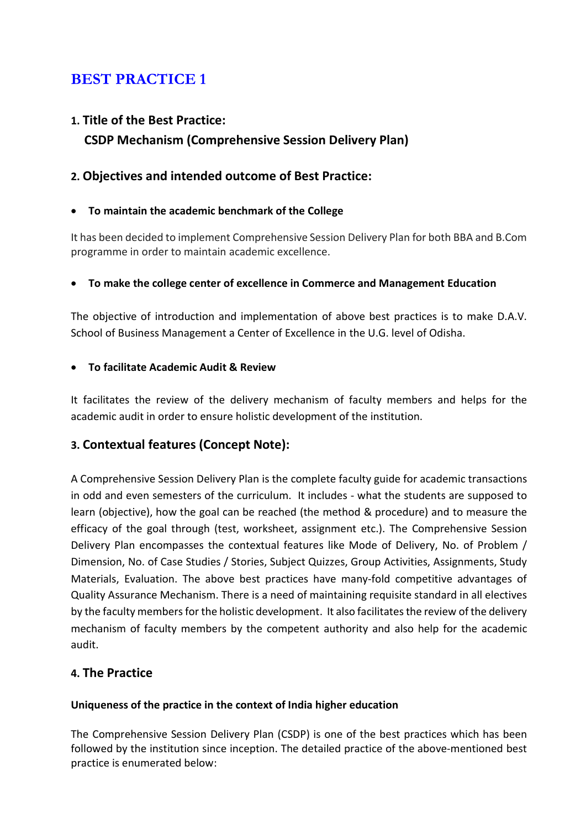# BEST PRACTICE 1

# 1. Title of the Best Practice: CSDP Mechanism (Comprehensive Session Delivery Plan)

# 2. Objectives and intended outcome of Best Practice:

#### To maintain the academic benchmark of the College

It has been decided to implement Comprehensive Session Delivery Plan for both BBA and B.Com programme in order to maintain academic excellence.

#### To make the college center of excellence in Commerce and Management Education

The objective of introduction and implementation of above best practices is to make D.A.V. School of Business Management a Center of Excellence in the U.G. level of Odisha.

#### To facilitate Academic Audit & Review

It facilitates the review of the delivery mechanism of faculty members and helps for the academic audit in order to ensure holistic development of the institution.

# 3. Contextual features (Concept Note):

A Comprehensive Session Delivery Plan is the complete faculty guide for academic transactions in odd and even semesters of the curriculum. It includes - what the students are supposed to learn (objective), how the goal can be reached (the method & procedure) and to measure the efficacy of the goal through (test, worksheet, assignment etc.). The Comprehensive Session Delivery Plan encompasses the contextual features like Mode of Delivery, No. of Problem / Dimension, No. of Case Studies / Stories, Subject Quizzes, Group Activities, Assignments, Study Materials, Evaluation. The above best practices have many-fold competitive advantages of Quality Assurance Mechanism. There is a need of maintaining requisite standard in all electives by the faculty members for the holistic development. It also facilitates the review of the delivery mechanism of faculty members by the competent authority and also help for the academic audit.

### 4. The Practice

#### Uniqueness of the practice in the context of India higher education

The Comprehensive Session Delivery Plan (CSDP) is one of the best practices which has been followed by the institution since inception. The detailed practice of the above-mentioned best practice is enumerated below: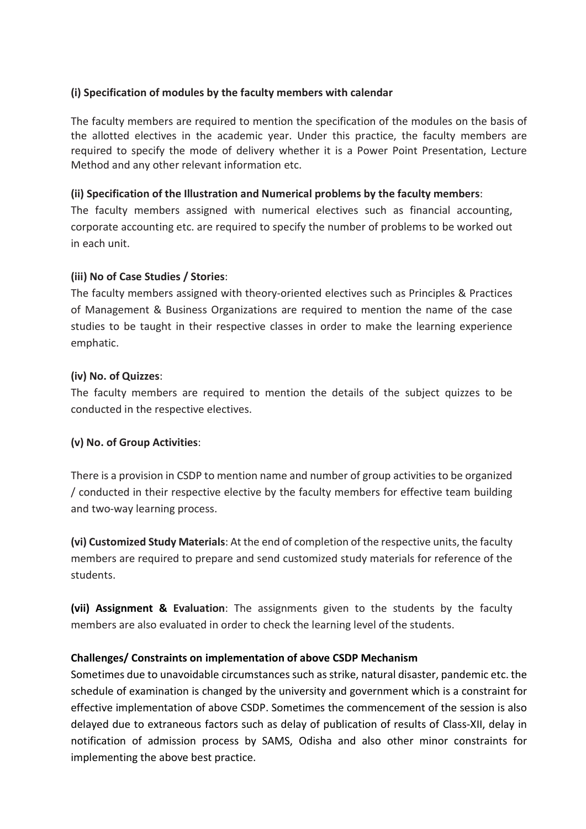#### (i) Specification of modules by the faculty members with calendar

The faculty members are required to mention the specification of the modules on the basis of the allotted electives in the academic year. Under this practice, the faculty members are required to specify the mode of delivery whether it is a Power Point Presentation, Lecture Method and any other relevant information etc.

#### (ii) Specification of the Illustration and Numerical problems by the faculty members:

The faculty members assigned with numerical electives such as financial accounting, corporate accounting etc. are required to specify the number of problems to be worked out in each unit.

#### (iii) No of Case Studies / Stories:

The faculty members assigned with theory-oriented electives such as Principles & Practices of Management & Business Organizations are required to mention the name of the case studies to be taught in their respective classes in order to make the learning experience emphatic.

#### (iv) No. of Quizzes:

The faculty members are required to mention the details of the subject quizzes to be conducted in the respective electives.

### (v) No. of Group Activities:

There is a provision in CSDP to mention name and number of group activities to be organized / conducted in their respective elective by the faculty members for effective team building and two-way learning process.

(vi) Customized Study Materials: At the end of completion of the respective units, the faculty members are required to prepare and send customized study materials for reference of the students.

(vii) Assignment & Evaluation: The assignments given to the students by the faculty members are also evaluated in order to check the learning level of the students.

#### Challenges/ Constraints on implementation of above CSDP Mechanism

Sometimes due to unavoidable circumstances such as strike, natural disaster, pandemic etc. the schedule of examination is changed by the university and government which is a constraint for effective implementation of above CSDP. Sometimes the commencement of the session is also delayed due to extraneous factors such as delay of publication of results of Class-XII, delay in notification of admission process by SAMS, Odisha and also other minor constraints for implementing the above best practice.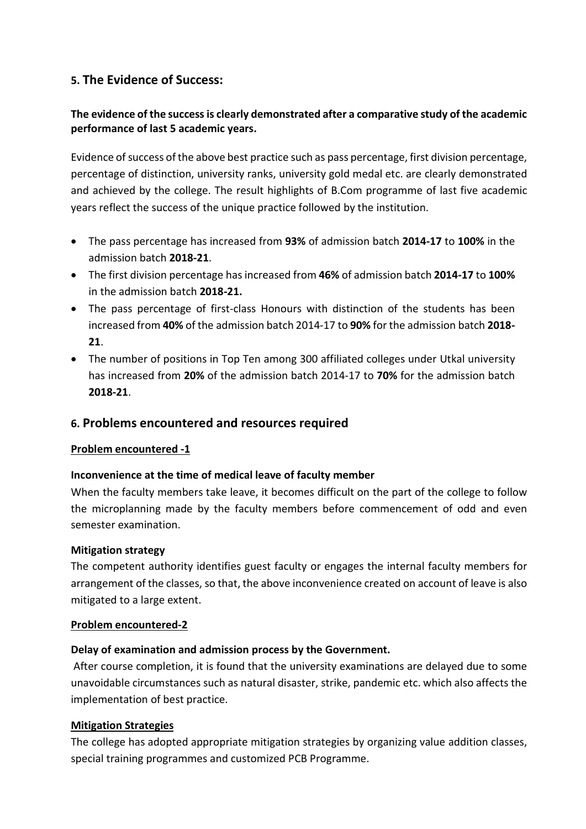# 5. The Evidence of Success:

#### The evidence of the success is clearly demonstrated after a comparative study of the academic performance of last 5 academic years.

Evidence of success of the above best practice such as pass percentage, first division percentage, percentage of distinction, university ranks, university gold medal etc. are clearly demonstrated and achieved by the college. The result highlights of B.Com programme of last five academic years reflect the success of the unique practice followed by the institution.

- The pass percentage has increased from 93% of admission batch 2014-17 to 100% in the admission batch 2018-21.
- The first division percentage has increased from 46% of admission batch 2014-17 to 100% in the admission batch 2018-21.
- The pass percentage of first-class Honours with distinction of the students has been increased from 40% of the admission batch 2014-17 to 90% for the admission batch 2018- 21.
- The number of positions in Top Ten among 300 affiliated colleges under Utkal university has increased from 20% of the admission batch 2014-17 to 70% for the admission batch 2018-21.

### 6. Problems encountered and resources required

#### Problem encountered -1

#### Inconvenience at the time of medical leave of faculty member

When the faculty members take leave, it becomes difficult on the part of the college to follow the microplanning made by the faculty members before commencement of odd and even semester examination.

#### Mitigation strategy

The competent authority identifies guest faculty or engages the internal faculty members for arrangement of the classes, so that, the above inconvenience created on account of leave is also mitigated to a large extent.

#### Problem encountered-2

#### Delay of examination and admission process by the Government.

After course completion, it is found that the university examinations are delayed due to some unavoidable circumstances such as natural disaster, strike, pandemic etc. which also affects the implementation of best practice.

#### Mitigation Strategies

The college has adopted appropriate mitigation strategies by organizing value addition classes, special training programmes and customized PCB Programme.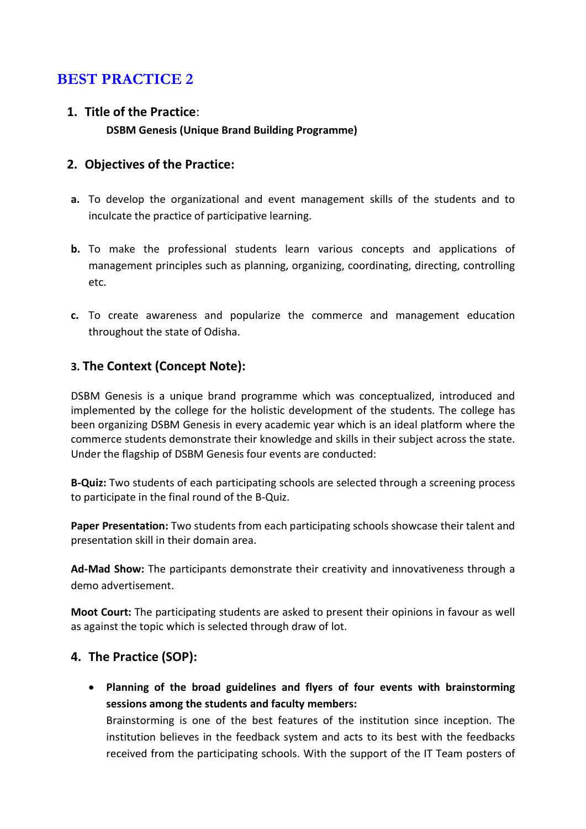# BEST PRACTICE 2

1. Title of the Practice: DSBM Genesis (Unique Brand Building Programme)

# 2. Objectives of the Practice:

- a. To develop the organizational and event management skills of the students and to inculcate the practice of participative learning.
- b. To make the professional students learn various concepts and applications of management principles such as planning, organizing, coordinating, directing, controlling etc.
- c. To create awareness and popularize the commerce and management education throughout the state of Odisha.

# 3. The Context (Concept Note):

DSBM Genesis is a unique brand programme which was conceptualized, introduced and implemented by the college for the holistic development of the students. The college has been organizing DSBM Genesis in every academic year which is an ideal platform where the commerce students demonstrate their knowledge and skills in their subject across the state. Under the flagship of DSBM Genesis four events are conducted:

B-Quiz: Two students of each participating schools are selected through a screening process to participate in the final round of the B-Quiz.

Paper Presentation: Two students from each participating schools showcase their talent and presentation skill in their domain area.

Ad-Mad Show: The participants demonstrate their creativity and innovativeness through a demo advertisement.

Moot Court: The participating students are asked to present their opinions in favour as well as against the topic which is selected through draw of lot.

### 4. The Practice (SOP):

 Planning of the broad guidelines and flyers of four events with brainstorming sessions among the students and faculty members:

Brainstorming is one of the best features of the institution since inception. The institution believes in the feedback system and acts to its best with the feedbacks received from the participating schools. With the support of the IT Team posters of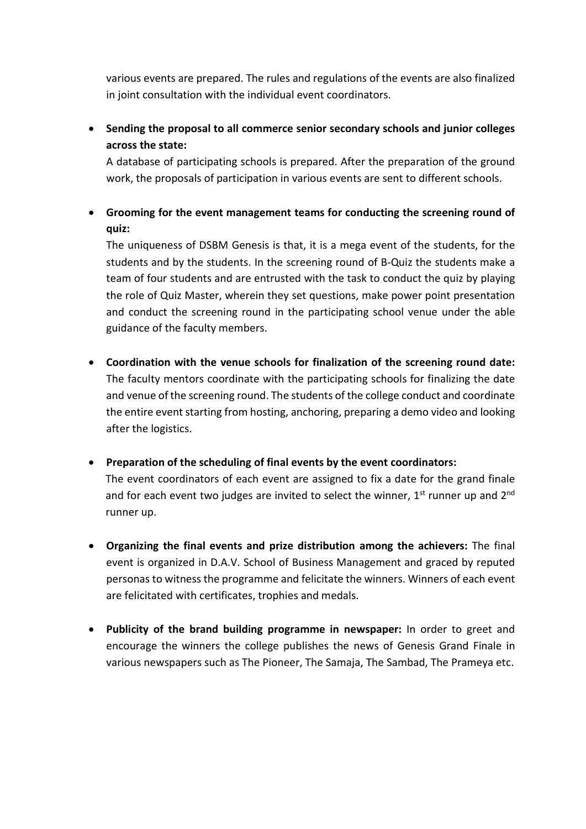various events are prepared. The rules and regulations of the events are also finalized in joint consultation with the individual event coordinators.

 Sending the proposal to all commerce senior secondary schools and junior colleges across the state:

A database of participating schools is prepared. After the preparation of the ground work, the proposals of participation in various events are sent to different schools.

 Grooming for the event management teams for conducting the screening round of quiz:

The uniqueness of DSBM Genesis is that, it is a mega event of the students, for the students and by the students. In the screening round of B-Quiz the students make a team of four students and are entrusted with the task to conduct the quiz by playing the role of Quiz Master, wherein they set questions, make power point presentation and conduct the screening round in the participating school venue under the able guidance of the faculty members.

- Coordination with the venue schools for finalization of the screening round date: The faculty mentors coordinate with the participating schools for finalizing the date and venue of the screening round. The students of the college conduct and coordinate the entire event starting from hosting, anchoring, preparing a demo video and looking after the logistics.
- Preparation of the scheduling of final events by the event coordinators: The event coordinators of each event are assigned to fix a date for the grand finale and for each event two judges are invited to select the winner,  $1<sup>st</sup>$  runner up and  $2<sup>nd</sup>$ runner up.
- Organizing the final events and prize distribution among the achievers: The final event is organized in D.A.V. School of Business Management and graced by reputed personas to witness the programme and felicitate the winners. Winners of each event are felicitated with certificates, trophies and medals.
- Publicity of the brand building programme in newspaper: In order to greet and encourage the winners the college publishes the news of Genesis Grand Finale in various newspapers such as The Pioneer, The Samaja, The Sambad, The Prameya etc.